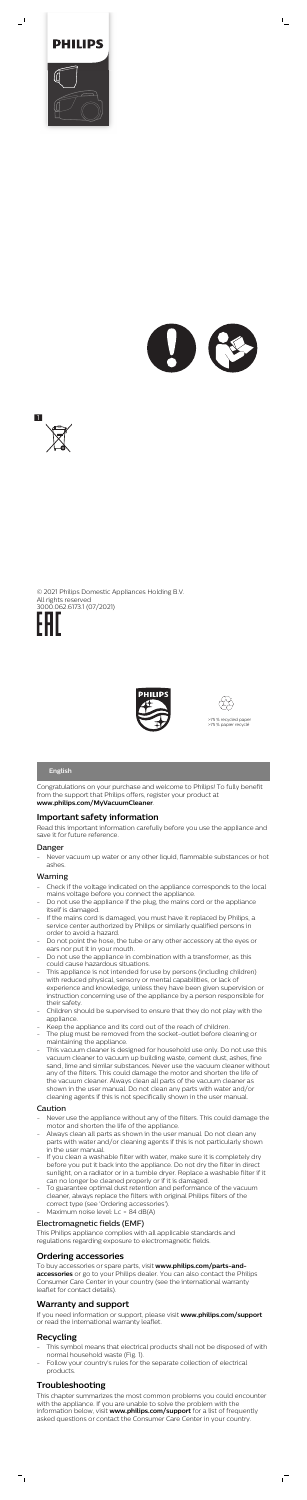

 $\overline{\phantom{0}}$ 



 $\mathbb{L}_+$ 



© 2021 Philips Domestic Appliances Holding B.V. All rights reserved 3000.062.6173.1 (07/2021)





Congratulations on your purchase and welcome to Philips! To fully benefit from the support that Philips offers, register your product at **www.philips.com/MyVacuumCleaner**.

Never vacuum up water or any other liquid, flammable substances or hot ashes.

# **Important safety information**

Read this important information carefully before you use the appliance and save it for future reference.

### Danger

## Warning

- Check if the voltage indicated on the appliance corresponds to the local mains voltage before you connect the appliance.
- Do not use the appliance if the plug, the mains cord or the appliance itself is damaged.
- If the mains cord is damaged, you must have it replaced by Philips, a service center authorized by Philips or similarly qualified persons in order to avoid a hazard.
- Do not point the hose, the tube or any other accessory at the eyes or ears nor put it in your mouth.
- Do not use the appliance in combination with a transformer, as this could cause hazardous situations.
- This appliance is not intended for use by persons (including children) with reduced physical, sensory or mental capabilities, or lack of experience and knowledge, unless they have been given supervision or instruction concerning use of the appliance by a person responsible for their safety.
- Children should be supervised to ensure that they do not play with the appliance.
- Keep the appliance and its cord out of the reach of children.
- The plug must be removed from the socket-outlet before cleaning or maintaining the appliance.
- This vacuum cleaner is designed for household use only. Do not use this vacuum cleaner to vacuum up building waste, cement dust, ashes, fine sand, lime and similar substances. Never use the vacuum cleaner without any of the filters. This could damage the motor and shorten the life of the vacuum cleaner. Always clean all parts of the vacuum cleaner as shown in the user manual. Do not clean any parts with water and/or cleaning agents if this is not specifically shown in the user manual.

- This symbol means that electrical products shall not be disposed of with normal household waste (Fig. 1).
- Follow your country's rules for the separate collection of electrical products.

### Caution

- Never use the appliance without any of the filters. This could damage the motor and shorten the life of the appliance.
- Always clean all parts as shown in the user manual. Do not clean any parts with water and/or cleaning agents if this is not particularly shown in the user manual.
- If you clean a washable filter with water, make sure it is completely dry before you put it back into the appliance. Do not dry the filter in direct sunlight, on a radiator or in a tumble dryer. Replace a washable filter if it can no longer be cleaned properly or if it is damaged.
- To guarantee optimal dust retention and performance of the vacuum cleaner, always replace the filters with original Philips filters of the correct type (see 'Ordering accessories').
- Maximum noise level: Lc = 84 dB(A)

### Electromagnetic fields (EMF)

This Philips appliance complies with all applicable standards and regulations regarding exposure to electromagnetic fields.

# **Ordering accessories**

To buy accessories or spare parts, visit **www.philips.com/parts-andaccessories** or go to your Philips dealer. You can also contact the Philips Consumer Care Center in your country (see the international warranty leaflet for contact details).

# **Warranty and support**

If you need information or support, please visit **www.philips.com/support** or read the international warranty leaflet.

# **Recycling**

 $=$ <sub>1</sub>

# **Troubleshooting**

This chapter summarizes the most common problems you could encounter with the appliance. If you are unable to solve the problem with the information below, visit **www.philips.com/support** for a list of frequently asked questions or contact the Consumer Care Center in your country.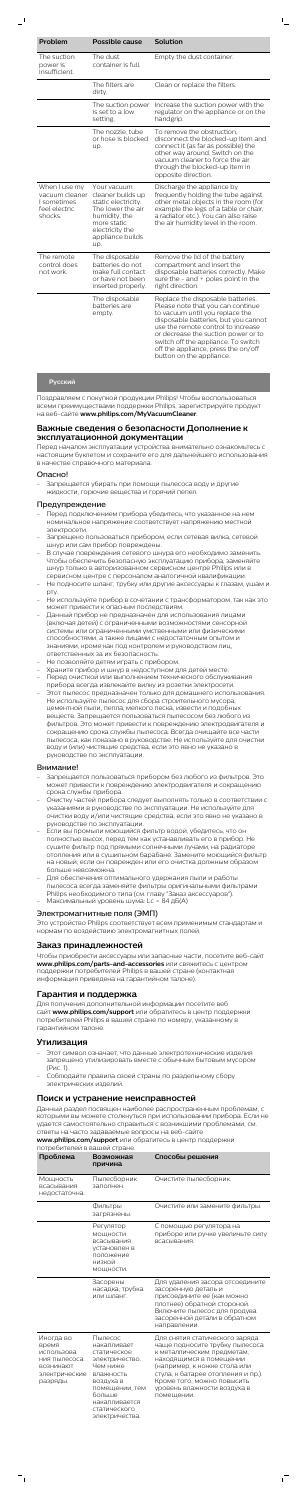$\overline{\phantom{0}}$ 

| The suction<br>power is<br>insufficient.                                   | The dust<br>container is full.                                                                                                                             | Empty the dust container.                                                                                                                                                                                                                                                                                                                |
|----------------------------------------------------------------------------|------------------------------------------------------------------------------------------------------------------------------------------------------------|------------------------------------------------------------------------------------------------------------------------------------------------------------------------------------------------------------------------------------------------------------------------------------------------------------------------------------------|
|                                                                            | The filters are<br>dirty.                                                                                                                                  | Clean or replace the filters.                                                                                                                                                                                                                                                                                                            |
|                                                                            | The suction power<br>is set to a low<br>setting.                                                                                                           | Increase the suction power with the<br>regulator on the appliance or on the<br>handgrip.                                                                                                                                                                                                                                                 |
|                                                                            | The nozzle, tube<br>or hose is blocked<br>up.                                                                                                              | To remove the obstruction,<br>disconnect the blocked-up item and<br>connect it (as far as possible) the<br>other way around. Switch on the<br>vacuum cleaner to force the air<br>through the blocked-up item in<br>opposite direction.                                                                                                   |
| When I use my<br>vacuum cleaner<br>I sometimes<br>feel electric<br>shocks. | Your vacuum<br>cleaner builds up<br>static electricity.<br>The lower the air<br>humidity, the<br>more static<br>electricity the<br>appliance builds<br>up. | Discharge the appliance by<br>frequently holding the tube against<br>other metal objects in the room (for<br>example the legs of a table or chair,<br>a radiator etc.). You can also raise<br>the air humidity level in the room.                                                                                                        |
| The remote<br>control does<br>not work.                                    | The disposable<br>batteries do not<br>make full contact<br>or have not been<br>inserted properly.                                                          | Remove the lid of the battery<br>compartment and insert the<br>disposable batteries correctly. Make<br>sure the $-$ and $+$ poles point in the<br>right direction.                                                                                                                                                                       |
|                                                                            | The disposable<br>batteries are<br>empty.                                                                                                                  | Replace the disposable batteries.<br>Please note that you can continue<br>to vacuum until you replace the<br>disposable batteries, but you cannot<br>use the remote control to increase<br>or decrease the suction power or to<br>switch off the appliance. To switch<br>off the appliance, press the on/off<br>button on the appliance. |

 $\mathbb{L}$ 

## **Русский**

Поздравляем с покупкой продукции Philips! Чтобы воспользоваться всеми преимуществами поддержки Philips, зарегистрируйте продукт на веб-сайте **www.philips.com/MyVacuumCleaner**.

## **Важные сведения о безопасности Дополнение к эксплуатационной документации**

Перед началом эксплуатации устройства внимательно ознакомьтесь с настоящим буклетом и сохраните его для дальнейшего использования в качестве справочного материала.

#### Опасно!

- Запрещается убирать при помощи пылесоса воду и другие жидкости, горючие вещества и горячий пепел.

### Предупреждение

- Перед подключением прибора убедитесь, что указанное на нем номинальное напряжение соответствует напряжению местной электросети.
- Запрещено пользоваться прибором, если сетевая вилка, сетевой шнур или сам прибор повреждены.
- В случае повреждения сетевого шнура его необходимо заменить. Чтобы обеспечить безопасную эксплуатацию прибора, заменяйте шнур только в авторизованном сервисном центре Philips или в сервисном центре с персоналом аналогичной квалификации.
- Не подносите шланг, трубку или другие аксессуары к глазам, ушам и рту.
- Не используйте прибор в сочетании с трансформатором, так как это может привести к опасным последствиям.
- Данный прибор не предназначен для использования лицами (включая детей) с ограниченными возможностями сенсорной системы или ограниченными умственными или физическими способностями, а также лицами с недостаточным опытом и знаниями, кроме как под контролем и руководством лиц, ответственных за их безопасность.
- Не позволяйте детям играть с прибором.
- Храните прибор и шнур в недоступном для детей месте.
- Перед очисткой или выполнением технического обслуживания прибора всегда извлекайте вилку из розетки электросети.
- Этот пылесос предназначен только для домашнего использования. Не используйте пылесос для сбора строительного мусора, цементной пыли, пепла, мелкого песка, извести и подобных веществ. Запрещается пользоваться пылесосом без любого из фильтров. Это может привести к повреждению электродвигателя и сокращению срока службы пылесоса. Всегда очищайте все части пылесоса, как показано в руководстве. Не используйте для очистки воду и (или) чистящие средства, если это явно не указано в руководстве по эксплуатации.

### Внимание!

- Запрещается пользоваться прибором без любого из фильтров. Это

- может привести к повреждению электродвигателя и сокращению срока службы прибора.
- Очистку частей прибора следует выполнять только в соответствии с указаниями в руководстве по эксплуатации. Не используйте для очистки воду и/или чистящие средства, если это явно не указано в руководстве по эксплуатации.
- Если вы промыли моющийся фильтр водой, убедитесь, что он полностью высох, перед тем как устанавливать его в прибор. Не сушите фильтр под прямыми солнечными лучами, на радиаторе отопления или в сушильном барабане. Замените моющийся фильтр на новый, если он поврежден или его очистка должным образом больше невозможна.
- Для обеспечения оптимального удержания пыли и работы пылесоса всегда заменяйте фильтры оригинальными фильтрами Philips необходимого типа (см. главу "Заказ аксессуаров"). Максимальный уровень шума: Lc = 84 дБ(А)
- Электромагнитные поля (ЭМП)

Это устройство Philips соответствует всем применимым стандартам и нормам по воздействию электромагнитных полей.

# **Заказ принадлежностей**

Чтобы приобрести аксессуары или запасные части, посетите веб-сайт **www.philips.com/parts-and-accessories** или свяжитесь с центром поддержки потребителей Philips в вашей стране (контактная информация приведена на гарантийном талоне).

# **Гарантия и поддержка**

Для получения дополнительной информации посетите веб сайт **www.philips.com/support** или обратитесь в центр поддержки потребителей Philips в вашей стране по номеру, указанному в гарантийном талоне.

# **Утилизация**

- Этот символ означает, что данные электротехнические изделия запрещено утилизировать вместе с обычным бытовым мусором (Рис. 1).
- Соблюдайте правила своей страны по раздельному сбору электрических изделий.

# **Поиск и устранение неисправностей**

Данный раздел посвящен наиболее распространенным проблемам, с которыми вы можете столкнуться при использовании прибора. Если не удается самостоятельно справиться с возникшими проблемами, см. ответы на часто задаваемые вопросы на веб-сайте

**www.philips.com/support** или обратитесь в центр поддержки потребителей в вашей стране.

| Проблема                                                                                   | Возможная<br>причина                                                                                                                                                         | Способы решения                                                                                                                                                                                                                                                            |
|--------------------------------------------------------------------------------------------|------------------------------------------------------------------------------------------------------------------------------------------------------------------------------|----------------------------------------------------------------------------------------------------------------------------------------------------------------------------------------------------------------------------------------------------------------------------|
| Мощность<br>всасывания<br>недостаточна.                                                    | Пылесборник<br>заполнен.                                                                                                                                                     | Очистите пылесборник.                                                                                                                                                                                                                                                      |
|                                                                                            | Фильтры<br>загрязнены.                                                                                                                                                       | Очистите или замените фильтры.                                                                                                                                                                                                                                             |
|                                                                                            | Регулятор<br>МОЩНОСТИ<br>всасывания<br>установлен в<br>положение<br>низкой<br>МОЩНОСТИ.                                                                                      | С помощью регулятора на<br>приборе или ручке увеличьте силу<br>всасывания.                                                                                                                                                                                                 |
|                                                                                            | Засорены<br>насадка, трубка<br>или шланг.                                                                                                                                    | Для удаления засора отсоедините<br>засоренную деталь и<br>присоедините ее (как можно<br>плотнее) обратной стороной.<br>Включите пылесос для продува<br>засоренной детали в обратном<br>направлении.                                                                        |
| Иногда во<br>время<br>использова<br>ния пылесоса<br>возникают<br>электрические<br>разряды. | Пылесос<br>накапливает<br>статическое<br>электричество.<br>Чем ниже<br>влажность<br>воздуха в<br>помещении, тем<br>больше<br>накапливается<br>статического<br>электричества. | Для снятия статического заряда<br>чаще подносите трубку пылесоса<br>к металлическим предметам,<br>находящимся в помещении<br>(например, к ножке стола или<br>стула, к батарее отопления и пр.).<br>Кроме того, можно повысить<br>уровень влажности воздуха в<br>помещении. |

 $\sqrt{2}$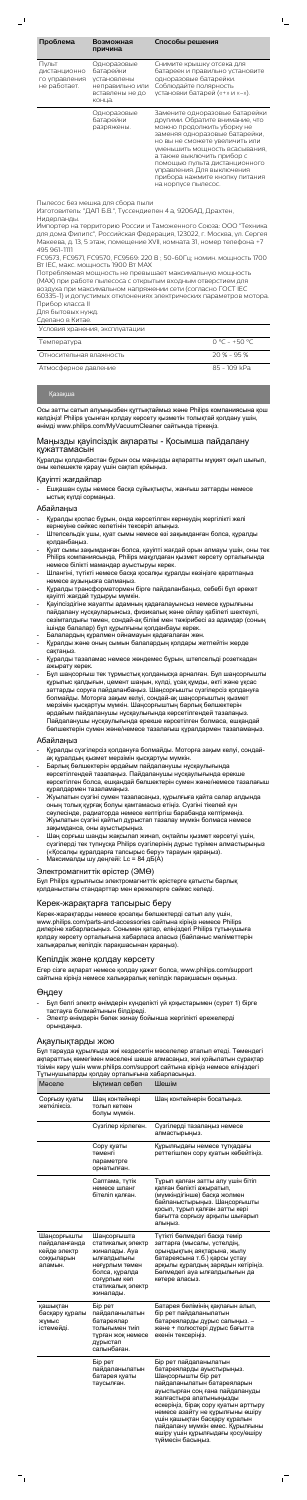| Проблема                                               | Возможная<br>причина                                                                    | Способы решения                                                                                                                                                                                                                                                                                                                                             |
|--------------------------------------------------------|-----------------------------------------------------------------------------------------|-------------------------------------------------------------------------------------------------------------------------------------------------------------------------------------------------------------------------------------------------------------------------------------------------------------------------------------------------------------|
| Пульт<br>дистанционно<br>го управления<br>не работает. | Одноразовые<br>батарейки<br>установлены<br>неправильно или<br>вставлены не до<br>конца. | Снимите крышку отсека для<br>батареек и правильно установите<br>одноразовые батарейки.<br>Соблюдайте полярность<br>установки батарей («+» и «-»).                                                                                                                                                                                                           |
|                                                        | Одноразовые<br>батарейки<br>разряжены.                                                  | Замените одноразовые батарейки<br>другими. Обратите внимание, что<br>можно продолжить уборку не<br>заменяя одноразовые батарейки,<br>но вы не сможете увеличить или<br>уменьшить мощность всасывания,<br>а также выключить прибор с<br>помощью пульта дистанционного<br>управления. Для выключения<br>прибора нажмите кнопку питания<br>на корпусе пылесос. |

 $\mathbb{L}$ 

Пылесос без мешка для сбора пыли

Изготовитель: "ДАП Б.В.", Туссендиепен 4 a, 9206АД, Драхтен, Нидерланды.

Импортер на территорию России и Таможенного Союза: ООО "Техника для дома Филипс", Российская Федерация, 123022, г. Москва, ул. Сергея Макеева, д. 13, 5 этаж, помещение ХVII, комната 31, номер телефона +7 495 961-1111

FC9573, FC9571, FC9570, FC9569: 220 В ; 50-60Гц; номин. мощность 1700 Вт IEC, макс. мощность 1900 Вт MAX

Потребляемая мощность не превышает максимальную мощность (MAX) при работе пылесоса с открытым входным отверстием для воздуха при максимальном напряжении сети (согласно ГОСТ IEC 60335-1) и допустимых отклонениях электрических параметров мотора.

Прибор класса II

Для бытовых нужд. Сделано в Китае.

| ____________                   |                 |
|--------------------------------|-----------------|
| Условия хранения, эксплуатации |                 |
| Температура                    | $0°C - +50°C$   |
| Относительная влажность        | $20 \% - 95 \%$ |
| Атмосферное давление           | 85 - 109 kPa    |

# Қазақша

Осы затты сатып алуыңызбен құттықтаймыз және Philips компаниясына қош келдіңіз! Philips ұсынған қолдау көрсету қызметін толықтай қолдану үшін, өнімді www.philips.com/MyVacuumCleaner сайтында тіркеңіз.

### Маңызды қауіпсіздік ақпараты - Қосымша пайдалану құжаттамасын

Құралды қолданбастан бұрын осы маңызды ақпаратты мұқият оқып шығып, оны келешекте қарау үшін сақтап қойыңыз.

### Қауіпті жағдайлар

- Ешқашан суды немесе басқа сұйықтықты, жанғыш заттарды немесе ыстық күлді сормаңыз.

### Абайлаңыз

- Құралды қоспас бұрын, онда көрсетілген кернеудің жергілікті желі кернеуіне сәйкес келетінін тексеріп алыңыз.
- Штепсельдік ұшы, қуат сымы немесе өзі зақымданған болса, құралды қолданбаңыз.
- Қуат сымы зақымданған болса, қауіпті жағдай орын алмауы үшін, оны тек Philips компаниясында, Philips мақұлдаған қызмет көрсету орталығында немесе білікті мамандар ауыстыруы керек.
- Шлангіні, түтікті немесе басқа қосалқы құралды көзіңізге қаратпаңыз немесе аузыңызға салмаңыз.
- Құралды трансформатормен бірге пайдаланбаңыз, себебі бұл әрекет қауіпті жағдай тудыруы мүмкін.
- Қауіпсіздігіне жауапты адамның қадағалауынсыз немесе құрылғыны пайдалану нұсқауларынсыз, физикалық және ойлау қабілеті шектеулі, сезімталдығы төмен, сондай-ақ білімі мен тәжірибесі аз адамдар (соның ішінде балалар) бұл құрылғыны қолданбауы керек.
- Балалардың құралмен ойнамауын қадағалаған жөн. - Құралды және оның сымын балалардың қолдары жетпейтін жерде
- сақтаңыз. - Құралды тазаламас немесе жөндемес бұрын, штепсельді розеткадан
- ажырату керек. - Бұл шаңсорғыш тек тұрмыстық қолданысқа арналған. Бұл шаңсорғышты
- құрылыс қалдығын, цемент шаңын, күлді, ұсақ құмды, әкті және ұқсас заттарды соруға пайдаланбаңыз. Шаңсорғышты сүзгілерсіз қолдануға болмайды. Моторға зақым келуі, сондай-ақ шаңсорғыштың қызмет мерзімін қысқартуы мүмкін. Шаңсорғыштың барлық бөлшектерін әрдайым пайдаланушы нұсқаулығында көрсетілгендей тазалаңыз. Пайдаланушы нұсқаулығында ерекше көрсетілген болмаса, ешқандай бөлшектерін сумен және/немесе тазалағыш құралдармен тазаламаңыз.

#### Абайлаңыз

- Құралды сүзгілерсіз қолдануға болмайды. Моторға зақым келуі, сондайақ құралдың қызмет мерзімін қысқартуы мүмкін.
- Барлық бөлшектерін әрдайым пайдаланушы нұсқаулығында
- көрсетілгендей тазалаңыз. Пайдаланушы нұсқаулығында ерекше

көрсетілген болса, ешқандай бөлшектерін сумен және/немесе тазалағыш құралдармен тазаламаңыз.

- Жуылатын сүзгіні сумен тазаласаңыз, құрылғыға қайта салар алдында оның толық құрғақ болуы қамтамасыз етіңіз. Сүзгіні тікелей күн сәулесінде, радиаторда немесе кептіргіш барабанда кептірмеңіз. Жуылатын сүзгіні қайтып дұрыстап тазалау мүмкін болмаса немесе зақымданса, оны ауыстырыңыз.
- Шаң сорғыш шаңды жақсылап жинап, оңтайлы қызмет көрсетуі үшін, сүзгілерді тек түпнұсқа Philips сүзгілерінің дұрыс түрімен алмастырыңыз («Қосалқы құралдарға тапсырыс беру» тарауын қараңыз).
- Максималды шу деңгейі: Lc = 84 дБ(A)

### Электромагниттік өрістер (ЭМӨ)

Бұл Philips құрылғысы электромагниттік өрістерге қатысты барлық қолданыстағы стандарттар мен ережелерге сәйкес келеді.

## Керек-жарақтарға тапсырыс беру

Керек-жарақтарды немесе қосалқы бөлшектерді сатып алу үшін, www.philips.com/parts-and-accessories сайтына кіріңіз немесе Philips дилеріне хабарласыңыз. Сонымен қатар, еліңіздегі Philips тұтынушыға қолдау көрсету орталығына хабарласа аласыз (байланыс мәліметтерін халықаралық кепілдік парақшасынан қараңыз).

## Кепілдік және қолдау көрсету

Егер сізге ақпарат немесе қолдау қажет болса, www.philips.com/support сайтына кіріңіз немесе халықаралық кепілдік парақшасын оқыңыз.

# Өңдеу

- Бұл белгі электр өнімдерін күнделікті үй қоқыстарымен (сурет 1) бірге тастауға болмайтынын білдіреді.
- Электр өнімдерін бөлек жинау бойынша жергілікті ережелерді орындаңыз.

### Ақаулықтарды жою

Бұл тарауда құрылғыда жиі кездесетін мәселелер аталып өтеді. Төмендегі ақпараттың көмегімен мәселені шеше алмасаңыз, жиі қойылатын сұрақтар тізімін көру үшін www.philips.com/support сайтына кіріңіз немесе еліңіздегі Тұтынушыларды қолдау орталығына хабарласыңыз.

| Мәселе                                                                | Ықтимал себеп                                                                                                                                          | Шешім                                                                                                                                                                                                                                                                                                                                                                              |
|-----------------------------------------------------------------------|--------------------------------------------------------------------------------------------------------------------------------------------------------|------------------------------------------------------------------------------------------------------------------------------------------------------------------------------------------------------------------------------------------------------------------------------------------------------------------------------------------------------------------------------------|
| Сорғызу қуаты<br>жеткіліксіз.                                         | Шаң контейнері<br>толып кеткен<br>болуы мүмкін.                                                                                                        | Шаң контейнерін босатыңыз.                                                                                                                                                                                                                                                                                                                                                         |
|                                                                       | Сүзгілер кірлеген.                                                                                                                                     | Сүзгілерді тазалаңыз немесе<br>алмастырыңыз.                                                                                                                                                                                                                                                                                                                                       |
|                                                                       | Сору қуаты<br>төменгі<br>параметрге<br>орнатылған.                                                                                                     | Құрылғыдағы немесе тұтқадағы<br>реттегішпен сору қуатын көбейтіңіз.                                                                                                                                                                                                                                                                                                                |
|                                                                       | Саптама, түтік<br>немесе шланг<br>бітеліп қалған.                                                                                                      | Тұрып қалған затты алу үшін бітіп<br>қалған бөлікті ажыратып,<br>(мүмкіндігінше) басқа жолмен<br>байланыстырыңыз. Шаңсорғышты<br>қосып, тұрып қалған затты кері<br>бағытта сорғызу арқылы шығарып<br>алыңыз.                                                                                                                                                                       |
| Шаңсорғышты<br>пайдаланғанда<br>кейде электр<br>соққыларын<br>аламын. | Шаңсорғышта<br>статикалық электр<br>жиналады. Ауа<br>ылғалдылығы<br>неғұрлым төмен<br>болса, құралда<br>соғұрлым көп<br>статикалық электр<br>жиналады. | Түтікті бөлмедегі басқа темір<br>заттарға (мысалы, үстелдің,<br>орындықтың аяқтарына, жылу<br>батареясына т.б.) қарсы ұстау<br>арқылы құралдың зарядын кетіріңіз.<br>Бөлмедегі ауа ылғалдылығын да<br>көтере аласыз.                                                                                                                                                               |
| қашықтан<br>басқару құралы<br>Жұмыс<br>істемейді.                     | Бір рет<br>пайдаланылатын<br>батареялар<br>толығымен тиіп<br>тұрған жоқ немесе<br>дұрыстап<br>салынбаған.                                              | Батарея бөлімінің қақпағын алып,<br>бір рет пайдаланылатын<br>батареяларды дұрыс салыңыз. -<br>және + полюстері дұрыс бағытта<br>екенін тексеріңіз.                                                                                                                                                                                                                                |
|                                                                       | Бір рет<br>пайдаланылатын<br>батарея қуаты<br>таусылған.                                                                                               | Бір рет пайдаланылатын<br>батареяларды ауыстырыңыз.<br>Шаңсорғышты бір рет<br>пайдаланылатын батареяларын<br>ауыстырған соң ғана пайдалануды<br>жалғастыра алатыныңызды<br>ескеріңіз, бірақ сору қуатын арттыру<br>немесе азайту не құрылғыны өшіру<br>үшін қашықтан басқару құралын<br>пайдалану мүмкін емес. Құрылғыны<br>өшіру үшін құрылғыдағы қосу/өшіру<br>түймесін басыңыз. |

 $\sqrt{2}$